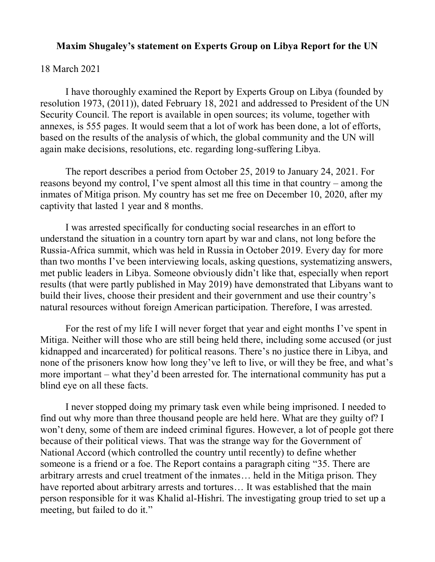## **Maxim Shugaley's statement on Experts Group on Libya Report for the UN**

## 18 March 2021

I have thoroughly examined the Report by Experts Group on Libya (founded by resolution 1973, (2011)), dated February 18, 2021 and addressed to President of the UN Security Council. The report is available in open sources; its volume, together with annexes, is 555 pages. It would seem that a lot of work has been done, a lot of efforts, based on the results of the analysis of which, the global community and the UN will again make decisions, resolutions, etc. regarding long-suffering Libya.

The report describes a period from October 25, 2019 to January 24, 2021. For reasons beyond my control, I've spent almost all this time in that country – among the inmates of Mitiga prison. My country has set me free on December 10, 2020, after my captivity that lasted 1 year and 8 months.

I was arrested specifically for conducting social researches in an effort to understand the situation in a country torn apart by war and clans, not long before the Russia-Africa summit, which was held in Russia in October 2019. Every day for more than two months I've been interviewing locals, asking questions, systematizing answers, met public leaders in Libya. Someone obviously didn't like that, especially when report results (that were partly published in May 2019) have demonstrated that Libyans want to build their lives, choose their president and their government and use their country's natural resources without foreign American participation. Therefore, I was arrested.

For the rest of my life I will never forget that year and eight months I've spent in Mitiga. Neither will those who are still being held there, including some accused (or just kidnapped and incarcerated) for political reasons. There's no justice there in Libya, and none of the prisoners know how long they've left to live, or will they be free, and what's more important – what they'd been arrested for. The international community has put a blind eye on all these facts.

I never stopped doing my primary task even while being imprisoned. I needed to find out why more than three thousand people are held here. What are they guilty of? I won't deny, some of them are indeed criminal figures. However, a lot of people got there because of their political views. That was the strange way for the Government of National Accord (which controlled the country until recently) to define whether someone is a friend or a foe. The Report contains a paragraph citing "35. There are arbitrary arrests and cruel treatment of the inmates… held in the Mitiga prison. They have reported about arbitrary arrests and tortures... It was established that the main person responsible for it was Khalid al-Hishri. The investigating group tried to set up a meeting, but failed to do it."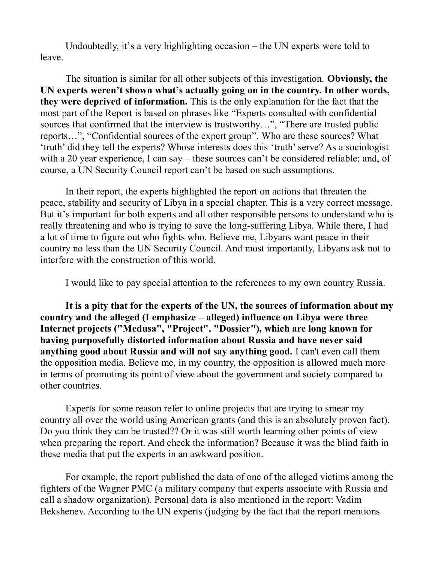Undoubtedly, it's a very highlighting occasion – the UN experts were told to leave.

The situation is similar for all other subjects of this investigation. **Obviously, the UN experts weren't shown what's actually going on in the country. In other words, they were deprived of information.** This is the only explanation for the fact that the most part of the Report is based on phrases like "Experts consulted with confidential sources that confirmed that the interview is trustworthy…", "There are trusted public reports…", "Confidential sources of the expert group". Who are these sources? What 'truth' did they tell the experts? Whose interests does this 'truth' serve? As a sociologist with a 20 year experience, I can say – these sources can't be considered reliable; and, of course, a UN Security Council report can't be based on such assumptions.

In their report, the experts highlighted the report on actions that threaten the peace, stability and security of Libya in a special chapter. This is a very correct message. But it's important for both experts and all other responsible persons to understand who is really threatening and who is trying to save the long-suffering Libya. While there, I had a lot of time to figure out who fights who. Believe me, Libyans want peace in their country no less than the UN Security Council. And most importantly, Libyans ask not to interfere with the construction of this world.

I would like to pay special attention to the references to my own country Russia.

**It is a pity that for the experts of the UN, the sources of information about my country and the alleged (I emphasize – alleged) influence on Libya were three Internet projects ("Medusa", "Project", "Dossier"), which are long known for having purposefully distorted information about Russia and have never said anything good about Russia and will not say anything good.** I can't even call them the opposition media. Believe me, in my country, the opposition is allowed much more in terms of promoting its point of view about the government and society compared to other countries.

Experts for some reason refer to online projects that are trying to smear my country all over the world using American grants (and this is an absolutely proven fact). Do you think they can be trusted?? Or it was still worth learning other points of view when preparing the report. And check the information? Because it was the blind faith in these media that put the experts in an awkward position.

For example, the report published the data of one of the alleged victims among the fighters of the Wagner PMC (a military company that experts associate with Russia and call a shadow organization). Personal data is also mentioned in the report: Vadim Bekshenev. According to the UN experts (judging by the fact that the report mentions